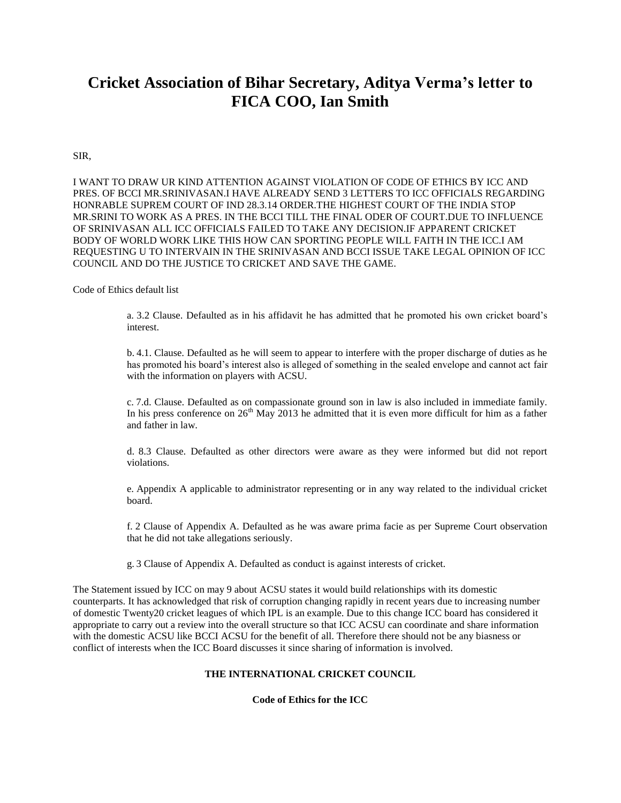# **Cricket Association of Bihar Secretary, Aditya Verma's letter to FICA COO, Ian Smith**

## SIR,

I WANT TO DRAW UR KIND ATTENTION AGAINST VIOLATION OF CODE OF ETHICS BY ICC AND PRES. OF BCCI MR.SRINIVASAN.I HAVE ALREADY SEND 3 LETTERS TO ICC OFFICIALS REGARDING HONRABLE SUPREM COURT OF IND 28.3.14 ORDER.THE HIGHEST COURT OF THE INDIA STOP MR.SRINI TO WORK AS A PRES. IN THE BCCI TILL THE FINAL ODER OF COURT.DUE TO INFLUENCE OF SRINIVASAN ALL ICC OFFICIALS FAILED TO TAKE ANY DECISION.IF APPARENT CRICKET BODY OF WORLD WORK LIKE THIS HOW CAN SPORTING PEOPLE WILL FAITH IN THE ICC.I AM REQUESTING U TO INTERVAIN IN THE SRINIVASAN AND BCCI ISSUE TAKE LEGAL OPINION OF ICC COUNCIL AND DO THE JUSTICE TO CRICKET AND SAVE THE GAME.

Code of Ethics default list

a. 3.2 Clause. Defaulted as in his affidavit he has admitted that he promoted his own cricket board's interest.

b. 4.1. Clause. Defaulted as he will seem to appear to interfere with the proper discharge of duties as he has promoted his board's interest also is alleged of something in the sealed envelope and cannot act fair with the information on players with ACSU.

c. 7.d. Clause. Defaulted as on compassionate ground son in law is also included in immediate family. In his press conference on  $26<sup>th</sup>$  May 2013 he admitted that it is even more difficult for him as a father and father in law.

d. 8.3 Clause. Defaulted as other directors were aware as they were informed but did not report violations.

e. Appendix A applicable to administrator representing or in any way related to the individual cricket board.

f. 2 Clause of Appendix A. Defaulted as he was aware prima facie as per Supreme Court observation that he did not take allegations seriously.

g. 3 Clause of Appendix A. Defaulted as conduct is against interests of cricket.

The Statement issued by ICC on may 9 about ACSU states it would build relationships with its domestic counterparts. It has acknowledged that risk of corruption changing rapidly in recent years due to increasing number of domestic Twenty20 cricket leagues of which IPL is an example. Due to this change ICC board has considered it appropriate to carry out a review into the overall structure so that ICC ACSU can coordinate and share information with the domestic ACSU like BCCI ACSU for the benefit of all. Therefore there should not be any biasness or conflict of interests when the ICC Board discusses it since sharing of information is involved.

## **THE INTERNATIONAL CRICKET COUNCIL**

**Code of Ethics for the ICC**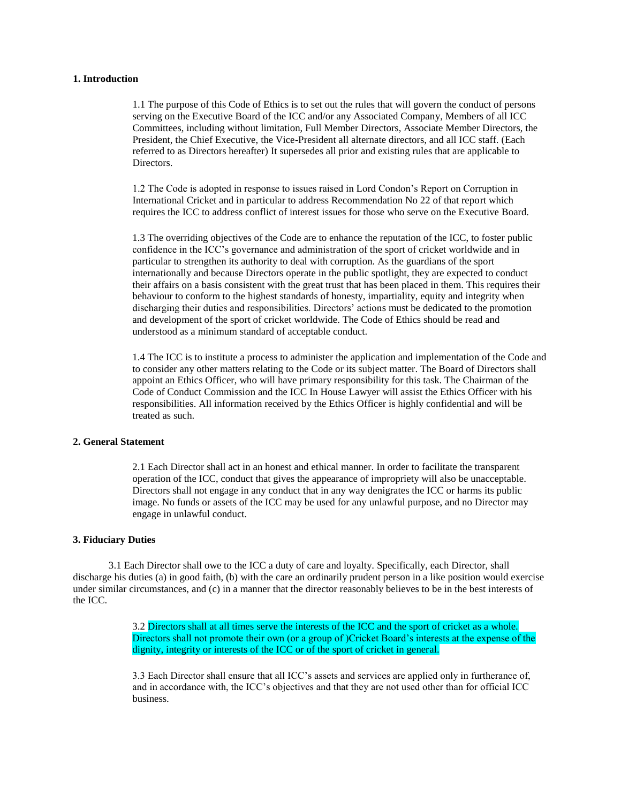## **1. Introduction**

1.1 The purpose of this Code of Ethics is to set out the rules that will govern the conduct of persons serving on the Executive Board of the ICC and/or any Associated Company, Members of all ICC Committees, including without limitation, Full Member Directors, Associate Member Directors, the President, the Chief Executive, the Vice-President all alternate directors, and all ICC staff. (Each referred to as Directors hereafter) It supersedes all prior and existing rules that are applicable to Directors.

1.2 The Code is adopted in response to issues raised in Lord Condon's Report on Corruption in International Cricket and in particular to address Recommendation No 22 of that report which requires the ICC to address conflict of interest issues for those who serve on the Executive Board.

1.3 The overriding objectives of the Code are to enhance the reputation of the ICC, to foster public confidence in the ICC's governance and administration of the sport of cricket worldwide and in particular to strengthen its authority to deal with corruption. As the guardians of the sport internationally and because Directors operate in the public spotlight, they are expected to conduct their affairs on a basis consistent with the great trust that has been placed in them. This requires their behaviour to conform to the highest standards of honesty, impartiality, equity and integrity when discharging their duties and responsibilities. Directors' actions must be dedicated to the promotion and development of the sport of cricket worldwide. The Code of Ethics should be read and understood as a minimum standard of acceptable conduct.

1.4 The ICC is to institute a process to administer the application and implementation of the Code and to consider any other matters relating to the Code or its subject matter. The Board of Directors shall appoint an Ethics Officer, who will have primary responsibility for this task. The Chairman of the Code of Conduct Commission and the ICC In House Lawyer will assist the Ethics Officer with his responsibilities. All information received by the Ethics Officer is highly confidential and will be treated as such.

#### **2. General Statement**

2.1 Each Director shall act in an honest and ethical manner. In order to facilitate the transparent operation of the ICC, conduct that gives the appearance of impropriety will also be unacceptable. Directors shall not engage in any conduct that in any way denigrates the ICC or harms its public image. No funds or assets of the ICC may be used for any unlawful purpose, and no Director may engage in unlawful conduct.

#### **3. Fiduciary Duties**

3.1 Each Director shall owe to the ICC a duty of care and loyalty. Specifically, each Director, shall discharge his duties (a) in good faith, (b) with the care an ordinarily prudent person in a like position would exercise under similar circumstances, and (c) in a manner that the director reasonably believes to be in the best interests of the ICC.

> 3.2 Directors shall at all times serve the interests of the ICC and the sport of cricket as a whole. Directors shall not promote their own (or a group of )Cricket Board's interests at the expense of the dignity, integrity or interests of the ICC or of the sport of cricket in general.

3.3 Each Director shall ensure that all ICC's assets and services are applied only in furtherance of, and in accordance with, the ICC's objectives and that they are not used other than for official ICC business.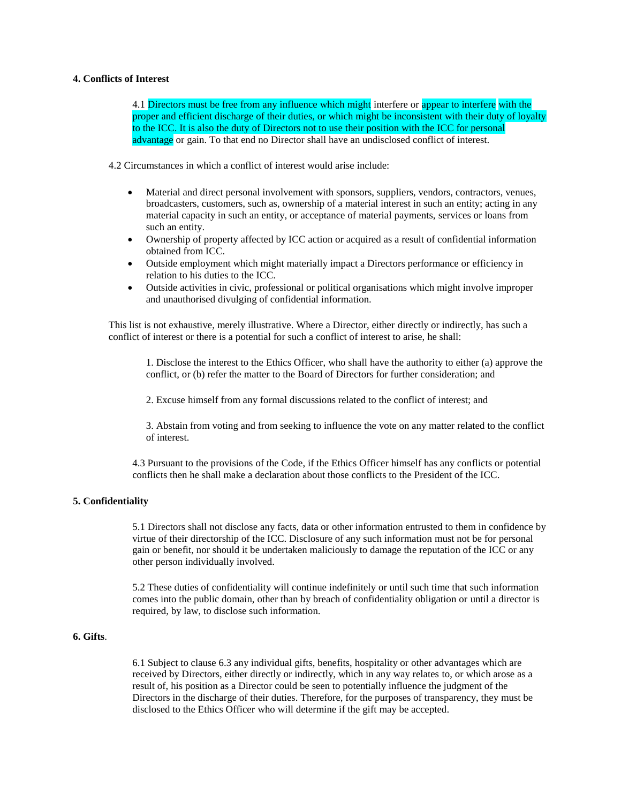## **4. Conflicts of Interest**

4.1 Directors must be free from any influence which might interfere or appear to interfere with the proper and efficient discharge of their duties, or which might be inconsistent with their duty of loyalty to the ICC. It is also the duty of Directors not to use their position with the ICC for personal advantage or gain. To that end no Director shall have an undisclosed conflict of interest.

4.2 Circumstances in which a conflict of interest would arise include:

- Material and direct personal involvement with sponsors, suppliers, vendors, contractors, venues, broadcasters, customers, such as, ownership of a material interest in such an entity; acting in any material capacity in such an entity, or acceptance of material payments, services or loans from such an entity.
- Ownership of property affected by ICC action or acquired as a result of confidential information obtained from ICC.
- Outside employment which might materially impact a Directors performance or efficiency in relation to his duties to the ICC.
- Outside activities in civic, professional or political organisations which might involve improper and unauthorised divulging of confidential information.

This list is not exhaustive, merely illustrative. Where a Director, either directly or indirectly, has such a conflict of interest or there is a potential for such a conflict of interest to arise, he shall:

1. Disclose the interest to the Ethics Officer, who shall have the authority to either (a) approve the conflict, or (b) refer the matter to the Board of Directors for further consideration; and

2. Excuse himself from any formal discussions related to the conflict of interest; and

3. Abstain from voting and from seeking to influence the vote on any matter related to the conflict of interest.

4.3 Pursuant to the provisions of the Code, if the Ethics Officer himself has any conflicts or potential conflicts then he shall make a declaration about those conflicts to the President of the ICC.

#### **5. Confidentiality**

5.1 Directors shall not disclose any facts, data or other information entrusted to them in confidence by virtue of their directorship of the ICC. Disclosure of any such information must not be for personal gain or benefit, nor should it be undertaken maliciously to damage the reputation of the ICC or any other person individually involved.

5.2 These duties of confidentiality will continue indefinitely or until such time that such information comes into the public domain, other than by breach of confidentiality obligation or until a director is required, by law, to disclose such information.

# **6. Gifts**.

6.1 Subject to clause 6.3 any individual gifts, benefits, hospitality or other advantages which are received by Directors, either directly or indirectly, which in any way relates to, or which arose as a result of, his position as a Director could be seen to potentially influence the judgment of the Directors in the discharge of their duties. Therefore, for the purposes of transparency, they must be disclosed to the Ethics Officer who will determine if the gift may be accepted.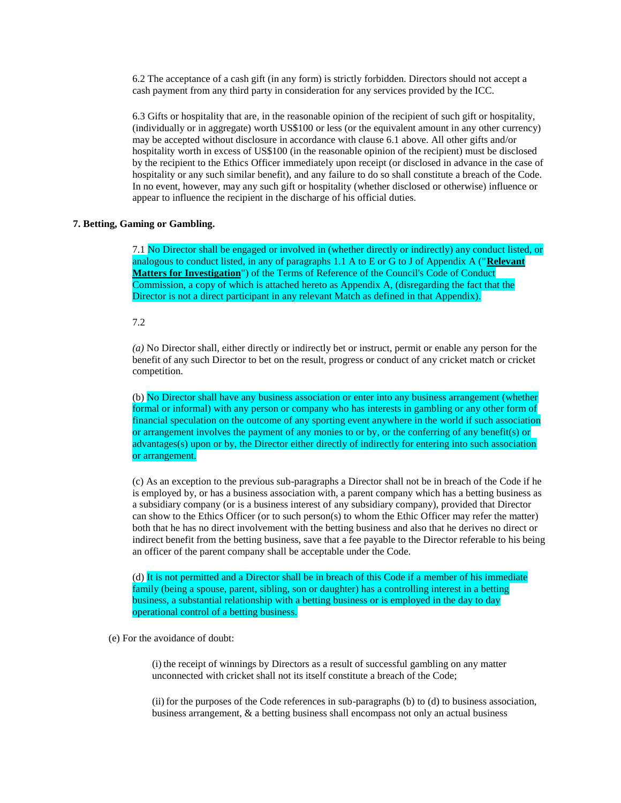6.2 The acceptance of a cash gift (in any form) is strictly forbidden. Directors should not accept a cash payment from any third party in consideration for any services provided by the ICC.

6.3 Gifts or hospitality that are, in the reasonable opinion of the recipient of such gift or hospitality, (individually or in aggregate) worth US\$100 or less (or the equivalent amount in any other currency) may be accepted without disclosure in accordance with clause 6.1 above. All other gifts and/or hospitality worth in excess of US\$100 (in the reasonable opinion of the recipient) must be disclosed by the recipient to the Ethics Officer immediately upon receipt (or disclosed in advance in the case of hospitality or any such similar benefit), and any failure to do so shall constitute a breach of the Code. In no event, however, may any such gift or hospitality (whether disclosed or otherwise) influence or appear to influence the recipient in the discharge of his official duties.

#### **7. Betting, Gaming or Gambling.**

7.1 No Director shall be engaged or involved in (whether directly or indirectly) any conduct listed, or analogous to conduct listed, in any of paragraphs 1.1 A to E or G to J of Appendix A ("**Relevant Matters for Investigation**") of the Terms of Reference of the Council's Code of Conduct Commission, a copy of which is attached hereto as Appendix A, (disregarding the fact that the Director is not a direct participant in any relevant Match as defined in that Appendix).

7.2

*(a)* No Director shall, either directly or indirectly bet or instruct, permit or enable any person for the benefit of any such Director to bet on the result, progress or conduct of any cricket match or cricket competition.

(b) No Director shall have any business association or enter into any business arrangement (whether formal or informal) with any person or company who has interests in gambling or any other form of financial speculation on the outcome of any sporting event anywhere in the world if such association or arrangement involves the payment of any monies to or by, or the conferring of any benefit(s) or advantages(s) upon or by, the Director either directly of indirectly for entering into such association or arrangement.

(c) As an exception to the previous sub-paragraphs a Director shall not be in breach of the Code if he is employed by, or has a business association with, a parent company which has a betting business as a subsidiary company (or is a business interest of any subsidiary company), provided that Director can show to the Ethics Officer (or to such person(s) to whom the Ethic Officer may refer the matter) both that he has no direct involvement with the betting business and also that he derives no direct or indirect benefit from the betting business, save that a fee payable to the Director referable to his being an officer of the parent company shall be acceptable under the Code.

(d) It is not permitted and a Director shall be in breach of this Code if a member of his immediate family (being a spouse, parent, sibling, son or daughter) has a controlling interest in a betting business, a substantial relationship with a betting business or is employed in the day to day operational control of a betting business.

(e) For the avoidance of doubt:

(i) the receipt of winnings by Directors as a result of successful gambling on any matter unconnected with cricket shall not its itself constitute a breach of the Code;

(ii) for the purposes of the Code references in sub-paragraphs (b) to (d) to business association, business arrangement, & a betting business shall encompass not only an actual business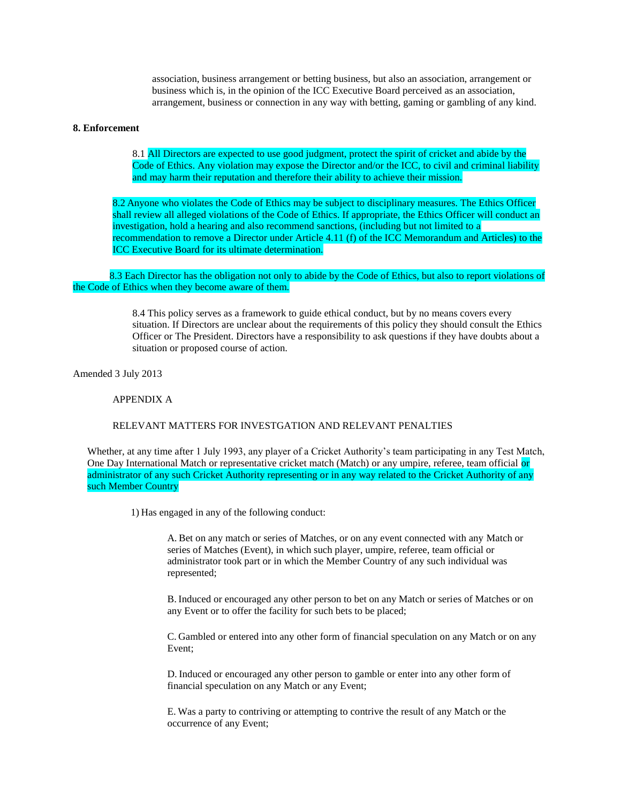association, business arrangement or betting business, but also an association, arrangement or business which is, in the opinion of the ICC Executive Board perceived as an association, arrangement, business or connection in any way with betting, gaming or gambling of any kind.

#### **8. Enforcement**

8.1 All Directors are expected to use good judgment, protect the spirit of cricket and abide by the Code of Ethics. Any violation may expose the Director and/or the ICC, to civil and criminal liability and may harm their reputation and therefore their ability to achieve their mission.

8.2 Anyone who violates the Code of Ethics may be subject to disciplinary measures. The Ethics Officer shall review all alleged violations of the Code of Ethics. If appropriate, the Ethics Officer will conduct an investigation, hold a hearing and also recommend sanctions, (including but not limited to a recommendation to remove a Director under Article 4.11 (f) of the ICC Memorandum and Articles) to the ICC Executive Board for its ultimate determination*.*

8.3 Each Director has the obligation not only to abide by the Code of Ethics, but also to report violations of the Code of Ethics when they become aware of them.

> 8.4 This policy serves as a framework to guide ethical conduct, but by no means covers every situation. If Directors are unclear about the requirements of this policy they should consult the Ethics Officer or The President. Directors have a responsibility to ask questions if they have doubts about a situation or proposed course of action.

Amended 3 July 2013

APPENDIX A

#### RELEVANT MATTERS FOR INVESTGATION AND RELEVANT PENALTIES

Whether, at any time after 1 July 1993, any player of a Cricket Authority's team participating in any Test Match, One Day International Match or representative cricket match (Match) or any umpire, referee, team official or administrator of any such Cricket Authority representing or in any way related to the Cricket Authority of any such Member Country

1) Has engaged in any of the following conduct:

A. Bet on any match or series of Matches, or on any event connected with any Match or series of Matches (Event), in which such player, umpire, referee, team official or administrator took part or in which the Member Country of any such individual was represented;

B. Induced or encouraged any other person to bet on any Match or series of Matches or on any Event or to offer the facility for such bets to be placed;

C. Gambled or entered into any other form of financial speculation on any Match or on any Event;

D. Induced or encouraged any other person to gamble or enter into any other form of financial speculation on any Match or any Event;

E. Was a party to contriving or attempting to contrive the result of any Match or the occurrence of any Event;